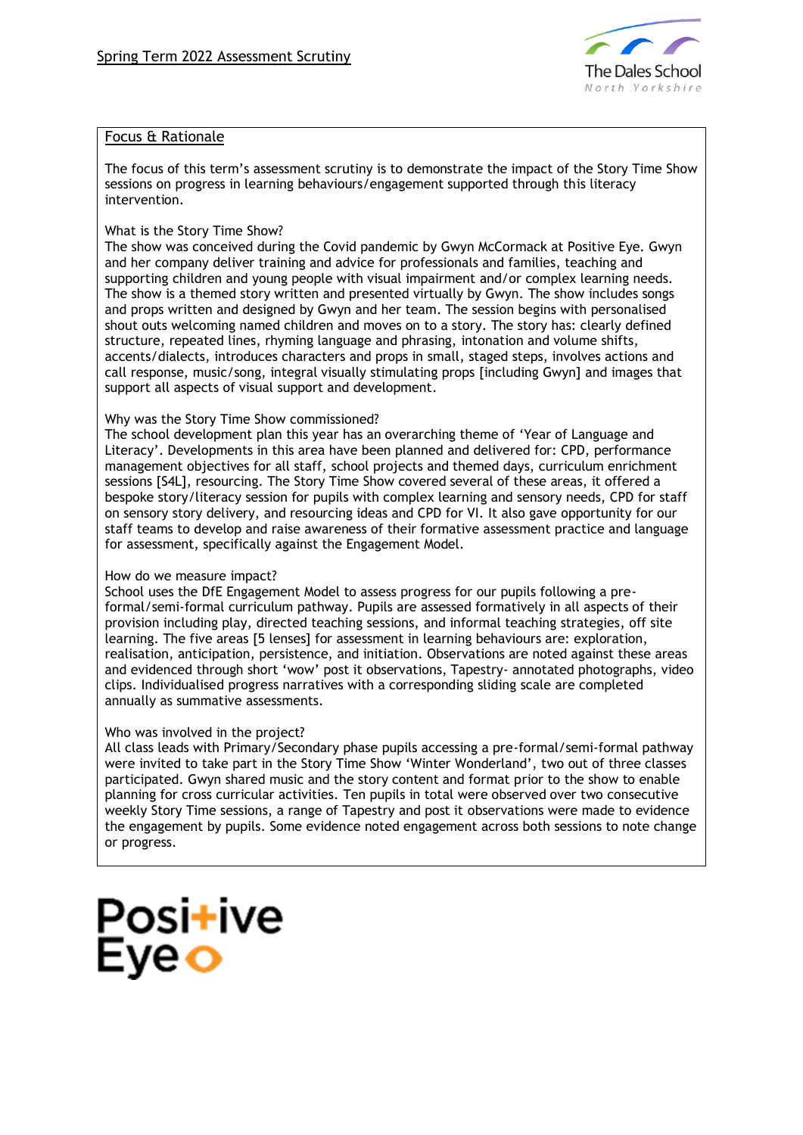

# Focus & Rationale

The focus of this term's assessment scrutiny is to demonstrate the impact of the Story Time Show sessions on progress in learning behaviours/engagement supported through this literacy intervention.

## What is the Story Time Show?

The show was conceived during the Covid pandemic by Gwyn McCormack at Positive Eye. Gwyn and her company deliver training and advice for professionals and families, teaching and supporting children and young people with visual impairment and/or complex learning needs. The show is a themed story written and presented virtually by Gwyn. The show includes songs and props written and designed by Gwyn and her team. The session begins with personalised shout outs welcoming named children and moves on to a story. The story has: clearly defined structure, repeated lines, rhyming language and phrasing, intonation and volume shifts, accents/dialects, introduces characters and props in small, staged steps, involves actions and call response, music/song, integral visually stimulating props [including Gwyn] and images that support all aspects of visual support and development.

### Why was the Story Time Show commissioned?

The school development plan this year has an overarching theme of 'Year of Language and Literacy'. Developments in this area have been planned and delivered for: CPD, performance management objectives for all staff, school projects and themed days, curriculum enrichment sessions [S4L], resourcing. The Story Time Show covered several of these areas, it offered a bespoke story/literacy session for pupils with complex learning and sensory needs, CPD for staff on sensory story delivery, and resourcing ideas and CPD for VI. It also gave opportunity for our staff teams to develop and raise awareness of their formative assessment practice and language for assessment, specifically against the Engagement Model.

#### How do we measure impact?

School uses the DfE Engagement Model to assess progress for our pupils following a preformal/semi-formal curriculum pathway. Pupils are assessed formatively in all aspects of their provision including play, directed teaching sessions, and informal teaching strategies, off site learning. The five areas [5 lenses] for assessment in learning behaviours are: exploration, realisation, anticipation, persistence, and initiation. Observations are noted against these areas and evidenced through short 'wow' post it observations, Tapestry- annotated photographs, video clips. Individualised progress narratives with a corresponding sliding scale are completed annually as summative assessments.

### Who was involved in the project?

All class leads with Primary/Secondary phase pupils accessing a pre-formal/semi-formal pathway were invited to take part in the Story Time Show 'Winter Wonderland', two out of three classes participated. Gwyn shared music and the story content and format prior to the show to enable planning for cross curricular activities. Ten pupils in total were observed over two consecutive weekly Story Time sessions, a range of Tapestry and post it observations were made to evidence the engagement by pupils. Some evidence noted engagement across both sessions to note change or progress.

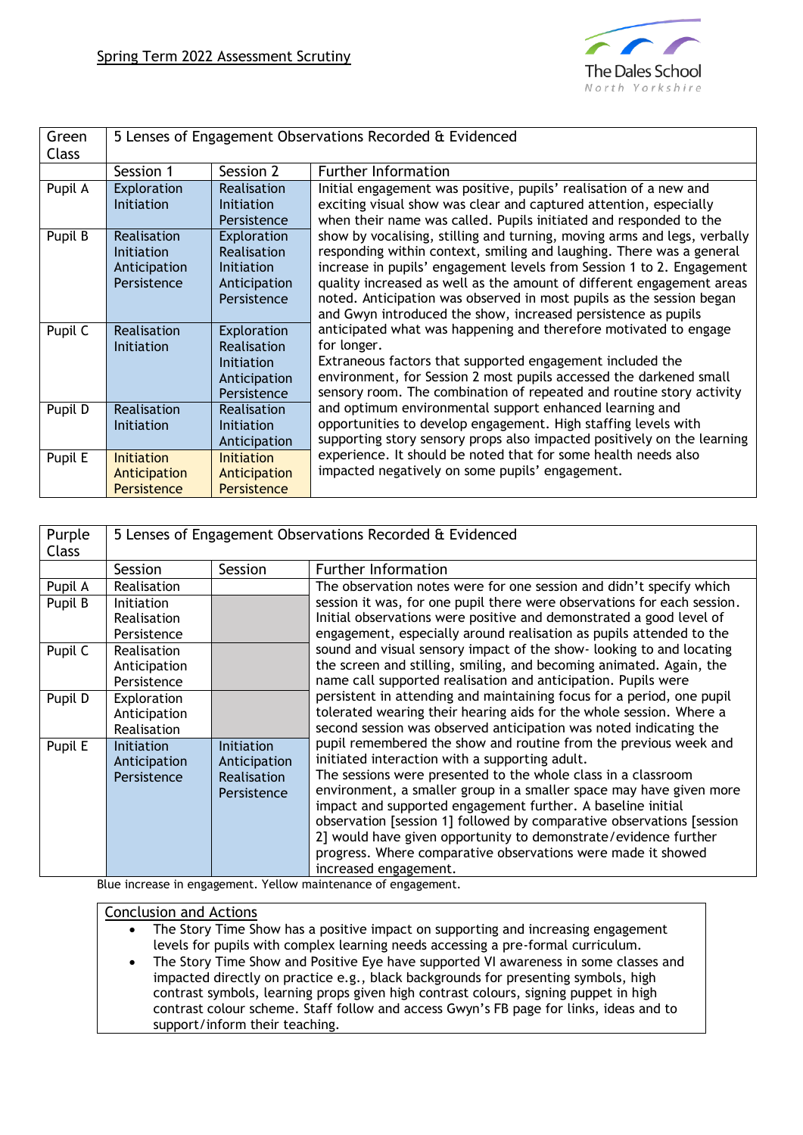

| Green<br><b>Class</b> |                                                                 |                                                                         | 5 Lenses of Engagement Observations Recorded & Evidenced                                                                                                                                                                                                                                                                                                                                                                                                                                                                                                                                                                                                                                                                                                                                                                                                                                                                                                                                                                                                                                                                                                                                                                                                                              |
|-----------------------|-----------------------------------------------------------------|-------------------------------------------------------------------------|---------------------------------------------------------------------------------------------------------------------------------------------------------------------------------------------------------------------------------------------------------------------------------------------------------------------------------------------------------------------------------------------------------------------------------------------------------------------------------------------------------------------------------------------------------------------------------------------------------------------------------------------------------------------------------------------------------------------------------------------------------------------------------------------------------------------------------------------------------------------------------------------------------------------------------------------------------------------------------------------------------------------------------------------------------------------------------------------------------------------------------------------------------------------------------------------------------------------------------------------------------------------------------------|
|                       | Session 1                                                       | Session 2                                                               | <b>Further Information</b>                                                                                                                                                                                                                                                                                                                                                                                                                                                                                                                                                                                                                                                                                                                                                                                                                                                                                                                                                                                                                                                                                                                                                                                                                                                            |
| Pupil A               | Exploration<br><b>Initiation</b>                                | Realisation<br>Initiation<br>Persistence                                | Initial engagement was positive, pupils' realisation of a new and<br>exciting visual show was clear and captured attention, especially<br>when their name was called. Pupils initiated and responded to the<br>show by vocalising, stilling and turning, moving arms and legs, verbally<br>responding within context, smiling and laughing. There was a general<br>increase in pupils' engagement levels from Session 1 to 2. Engagement<br>quality increased as well as the amount of different engagement areas<br>noted. Anticipation was observed in most pupils as the session began<br>and Gwyn introduced the show, increased persistence as pupils<br>anticipated what was happening and therefore motivated to engage<br>for longer.<br>Extraneous factors that supported engagement included the<br>environment, for Session 2 most pupils accessed the darkened small<br>sensory room. The combination of repeated and routine story activity<br>and optimum environmental support enhanced learning and<br>opportunities to develop engagement. High staffing levels with<br>supporting story sensory props also impacted positively on the learning<br>experience. It should be noted that for some health needs also<br>impacted negatively on some pupils' engagement. |
| Pupil B               | Realisation<br><i>Initiation</i><br>Anticipation<br>Persistence | Exploration<br>Realisation<br>Initiation<br>Anticipation<br>Persistence |                                                                                                                                                                                                                                                                                                                                                                                                                                                                                                                                                                                                                                                                                                                                                                                                                                                                                                                                                                                                                                                                                                                                                                                                                                                                                       |
| Pupil C               | Realisation<br><b>Initiation</b>                                | Exploration<br>Realisation<br>Initiation<br>Anticipation<br>Persistence |                                                                                                                                                                                                                                                                                                                                                                                                                                                                                                                                                                                                                                                                                                                                                                                                                                                                                                                                                                                                                                                                                                                                                                                                                                                                                       |
| Pupil D               | Realisation<br><b>Initiation</b>                                | Realisation<br><b>Initiation</b><br>Anticipation                        |                                                                                                                                                                                                                                                                                                                                                                                                                                                                                                                                                                                                                                                                                                                                                                                                                                                                                                                                                                                                                                                                                                                                                                                                                                                                                       |
| Pupil E               | <b>Initiation</b><br>Anticipation<br>Persistence                | <b>Initiation</b><br>Anticipation<br>Persistence                        |                                                                                                                                                                                                                                                                                                                                                                                                                                                                                                                                                                                                                                                                                                                                                                                                                                                                                                                                                                                                                                                                                                                                                                                                                                                                                       |

| Purple       | 5 Lenses of Engagement Observations Recorded & Evidenced |                           |                                                                         |  |
|--------------|----------------------------------------------------------|---------------------------|-------------------------------------------------------------------------|--|
| <b>Class</b> |                                                          |                           |                                                                         |  |
|              |                                                          |                           | <b>Further Information</b>                                              |  |
|              | Session                                                  | <b>Session</b>            |                                                                         |  |
| Pupil A      | Realisation                                              |                           | The observation notes were for one session and didn't specify which     |  |
| Pupil B      | Initiation                                               |                           | session it was, for one pupil there were observations for each session. |  |
|              | Realisation                                              |                           | Initial observations were positive and demonstrated a good level of     |  |
|              | Persistence                                              |                           | engagement, especially around realisation as pupils attended to the     |  |
| Pupil C      | Realisation                                              |                           | sound and visual sensory impact of the show- looking to and locating    |  |
|              | Anticipation                                             |                           | the screen and stilling, smiling, and becoming animated. Again, the     |  |
|              | Persistence                                              |                           | name call supported realisation and anticipation. Pupils were           |  |
| Pupil D      | Exploration                                              |                           | persistent in attending and maintaining focus for a period, one pupil   |  |
|              | Anticipation                                             |                           | tolerated wearing their hearing aids for the whole session. Where a     |  |
|              | Realisation                                              |                           | second session was observed anticipation was noted indicating the       |  |
| Pupil E      | <b>Initiation</b>                                        | Initiation                | pupil remembered the show and routine from the previous week and        |  |
|              | Anticipation                                             | Anticipation              | initiated interaction with a supporting adult.                          |  |
|              | Persistence                                              | Realisation               | The sessions were presented to the whole class in a classroom           |  |
|              |                                                          | Persistence               | environment, a smaller group in a smaller space may have given more     |  |
|              |                                                          |                           | impact and supported engagement further. A baseline initial             |  |
|              |                                                          |                           | observation [session 1] followed by comparative observations [session   |  |
|              |                                                          |                           | 2] would have given opportunity to demonstrate/evidence further         |  |
|              |                                                          |                           | progress. Where comparative observations were made it showed            |  |
|              |                                                          |                           | increased engagement.                                                   |  |
| - 1          |                                                          | $\mathbf{v}$ $\mathbf{v}$ |                                                                         |  |

Blue increase in engagement. Yellow maintenance of engagement.

# Conclusion and Actions

The Story Time Show has a positive impact on supporting and increasing engagement levels for pupils with complex learning needs accessing a pre-formal curriculum.

The Story Time Show and Positive Eye have supported VI awareness in some classes and impacted directly on practice e.g., black backgrounds for presenting symbols, high contrast symbols, learning props given high contrast colours, signing puppet in high contrast colour scheme. Staff follow and access Gwyn's FB page for links, ideas and to support/inform their teaching.